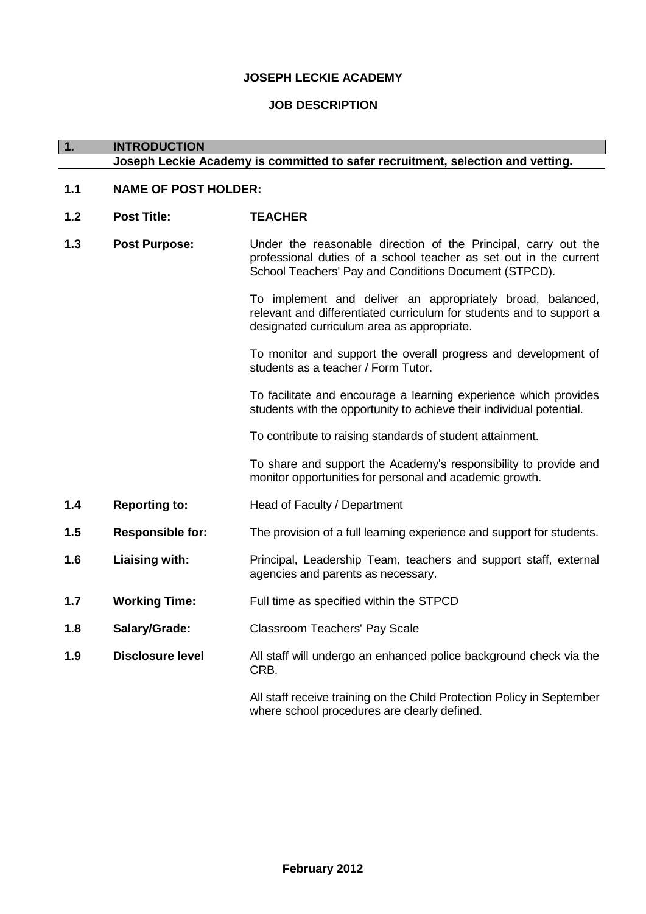## **JOSEPH LECKIE ACADEMY**

## **JOB DESCRIPTION**

| $\overline{1}$ . | <b>INTRODUCTION</b>         |                                                                                                                                                                                              |
|------------------|-----------------------------|----------------------------------------------------------------------------------------------------------------------------------------------------------------------------------------------|
|                  |                             | Joseph Leckie Academy is committed to safer recruitment, selection and vetting.                                                                                                              |
| 1.1              | <b>NAME OF POST HOLDER:</b> |                                                                                                                                                                                              |
| 1.2              | <b>Post Title:</b>          | <b>TEACHER</b>                                                                                                                                                                               |
| 1.3              | <b>Post Purpose:</b>        | Under the reasonable direction of the Principal, carry out the<br>professional duties of a school teacher as set out in the current<br>School Teachers' Pay and Conditions Document (STPCD). |
|                  |                             | To implement and deliver an appropriately broad, balanced,<br>relevant and differentiated curriculum for students and to support a<br>designated curriculum area as appropriate.             |
|                  |                             | To monitor and support the overall progress and development of<br>students as a teacher / Form Tutor.                                                                                        |
|                  |                             | To facilitate and encourage a learning experience which provides<br>students with the opportunity to achieve their individual potential.                                                     |
|                  |                             | To contribute to raising standards of student attainment.                                                                                                                                    |
|                  |                             | To share and support the Academy's responsibility to provide and<br>monitor opportunities for personal and academic growth.                                                                  |
| 1.4              | <b>Reporting to:</b>        | Head of Faculty / Department                                                                                                                                                                 |
| 1.5              | <b>Responsible for:</b>     | The provision of a full learning experience and support for students.                                                                                                                        |
| 1.6              | Liaising with:              | Principal, Leadership Team, teachers and support staff, external<br>agencies and parents as necessary.                                                                                       |
| 1.7              | <b>Working Time:</b>        | Full time as specified within the STPCD                                                                                                                                                      |
| 1.8              | Salary/Grade:               | Classroom Teachers' Pay Scale                                                                                                                                                                |
| 1.9              | <b>Disclosure level</b>     | All staff will undergo an enhanced police background check via the<br>CRB.                                                                                                                   |
|                  |                             | All staff receive training on the Child Protection Policy in September<br>where school procedures are clearly defined.                                                                       |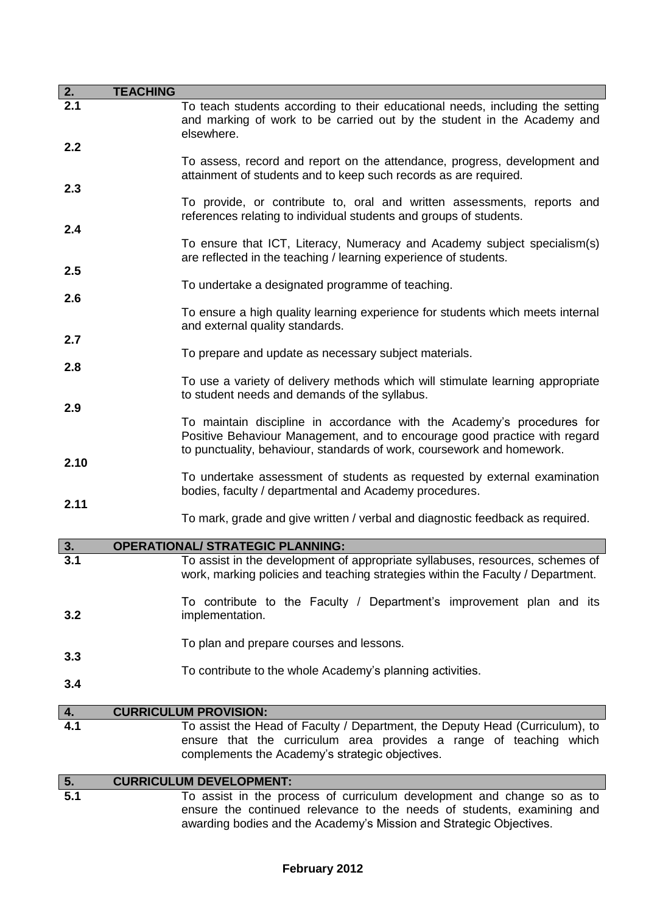| 2.         | <b>TEACHING</b> |                                                                                                                                                                                                                               |
|------------|-----------------|-------------------------------------------------------------------------------------------------------------------------------------------------------------------------------------------------------------------------------|
| 2.1<br>2.2 |                 | To teach students according to their educational needs, including the setting<br>and marking of work to be carried out by the student in the Academy and<br>elsewhere.                                                        |
|            |                 | To assess, record and report on the attendance, progress, development and<br>attainment of students and to keep such records as are required.                                                                                 |
| 2.3        |                 | To provide, or contribute to, oral and written assessments, reports and<br>references relating to individual students and groups of students.                                                                                 |
| 2.4        |                 | To ensure that ICT, Literacy, Numeracy and Academy subject specialism(s)<br>are reflected in the teaching / learning experience of students.                                                                                  |
| 2.5        |                 | To undertake a designated programme of teaching.                                                                                                                                                                              |
| 2.6        |                 | To ensure a high quality learning experience for students which meets internal<br>and external quality standards.                                                                                                             |
| 2.7<br>2.8 |                 | To prepare and update as necessary subject materials.                                                                                                                                                                         |
|            |                 | To use a variety of delivery methods which will stimulate learning appropriate<br>to student needs and demands of the syllabus.                                                                                               |
| 2.9        |                 | To maintain discipline in accordance with the Academy's procedures for<br>Positive Behaviour Management, and to encourage good practice with regard<br>to punctuality, behaviour, standards of work, coursework and homework. |
| 2.10       |                 | To undertake assessment of students as requested by external examination<br>bodies, faculty / departmental and Academy procedures.                                                                                            |
| 2.11       |                 | To mark, grade and give written / verbal and diagnostic feedback as required.                                                                                                                                                 |
| 3.         |                 | <b>OPERATIONAL/ STRATEGIC PLANNING:</b>                                                                                                                                                                                       |
| 3.1        |                 | To assist in the development of appropriate syllabuses, resources, schemes of<br>work, marking policies and teaching strategies within the Faculty / Department.                                                              |
| 3.2        |                 | To contribute to the Faculty / Department's improvement plan and its<br>implementation.                                                                                                                                       |
| 3.3        |                 | To plan and prepare courses and lessons.                                                                                                                                                                                      |
| 3.4        |                 | To contribute to the whole Academy's planning activities.                                                                                                                                                                     |
| 4.         |                 | <b>CURRICULUM PROVISION:</b>                                                                                                                                                                                                  |
| 4.1        |                 | To assist the Head of Faculty / Department, the Deputy Head (Curriculum), to<br>ensure that the curriculum area provides a range of teaching which<br>complements the Academy's strategic objectives.                         |
|            |                 | <b>CURRICULUM DEVELOPMENT:</b>                                                                                                                                                                                                |
| 5.<br>5.1  |                 | To assist in the process of curriculum development and change so as to                                                                                                                                                        |
|            |                 | ensure the continued relevance to the needs of students, examining and                                                                                                                                                        |

## **February 2012**

awarding bodies and the Academy's Mission and Strategic Objectives.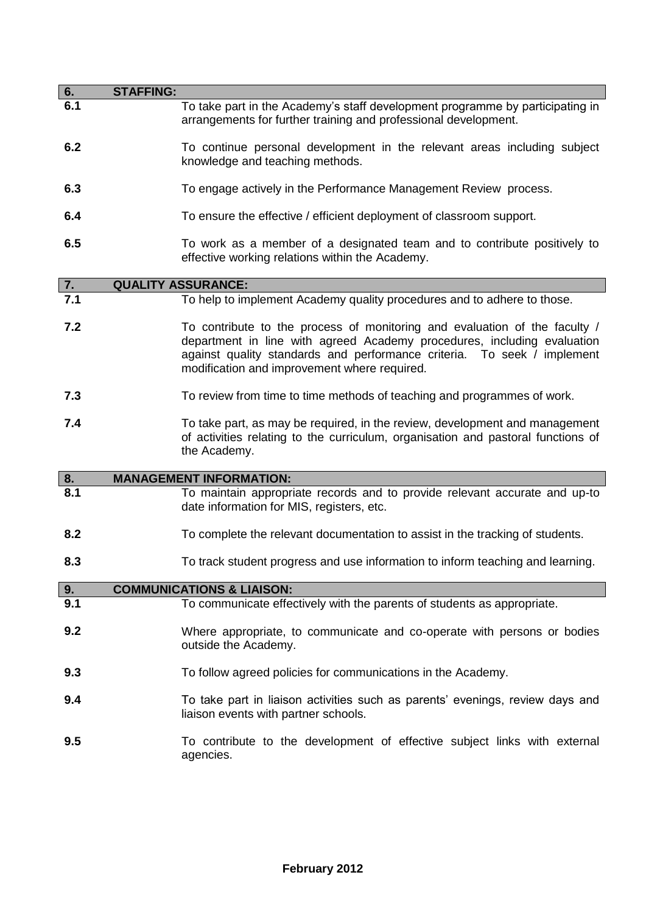| 6.  | <b>STAFFING:</b>                                                                                                                                                                                                                                                                 |
|-----|----------------------------------------------------------------------------------------------------------------------------------------------------------------------------------------------------------------------------------------------------------------------------------|
| 6.1 | To take part in the Academy's staff development programme by participating in<br>arrangements for further training and professional development.                                                                                                                                 |
| 6.2 | To continue personal development in the relevant areas including subject<br>knowledge and teaching methods.                                                                                                                                                                      |
| 6.3 | To engage actively in the Performance Management Review process.                                                                                                                                                                                                                 |
| 6.4 | To ensure the effective / efficient deployment of classroom support.                                                                                                                                                                                                             |
| 6.5 | To work as a member of a designated team and to contribute positively to<br>effective working relations within the Academy.                                                                                                                                                      |
| 7.  | <b>QUALITY ASSURANCE:</b>                                                                                                                                                                                                                                                        |
| 7.1 | To help to implement Academy quality procedures and to adhere to those.                                                                                                                                                                                                          |
| 7.2 | To contribute to the process of monitoring and evaluation of the faculty /<br>department in line with agreed Academy procedures, including evaluation<br>against quality standards and performance criteria. To seek / implement<br>modification and improvement where required. |
| 7.3 | To review from time to time methods of teaching and programmes of work.                                                                                                                                                                                                          |
| 7.4 | To take part, as may be required, in the review, development and management<br>of activities relating to the curriculum, organisation and pastoral functions of<br>the Academy.                                                                                                  |
| 8.  | <b>MANAGEMENT INFORMATION:</b>                                                                                                                                                                                                                                                   |
| 8.1 | To maintain appropriate records and to provide relevant accurate and up-to<br>date information for MIS, registers, etc.                                                                                                                                                          |
| 8.2 | To complete the relevant documentation to assist in the tracking of students.                                                                                                                                                                                                    |
| 8.3 | To track student progress and use information to inform teaching and learning.                                                                                                                                                                                                   |
| 9.  | <b>COMMUNICATIONS &amp; LIAISON:</b>                                                                                                                                                                                                                                             |
| 9.1 | To communicate effectively with the parents of students as appropriate.                                                                                                                                                                                                          |
| 9.2 | Where appropriate, to communicate and co-operate with persons or bodies<br>outside the Academy.                                                                                                                                                                                  |
| 9.3 | To follow agreed policies for communications in the Academy.                                                                                                                                                                                                                     |
| 9.4 | To take part in liaison activities such as parents' evenings, review days and<br>liaison events with partner schools.                                                                                                                                                            |
| 9.5 | To contribute to the development of effective subject links with external<br>agencies.                                                                                                                                                                                           |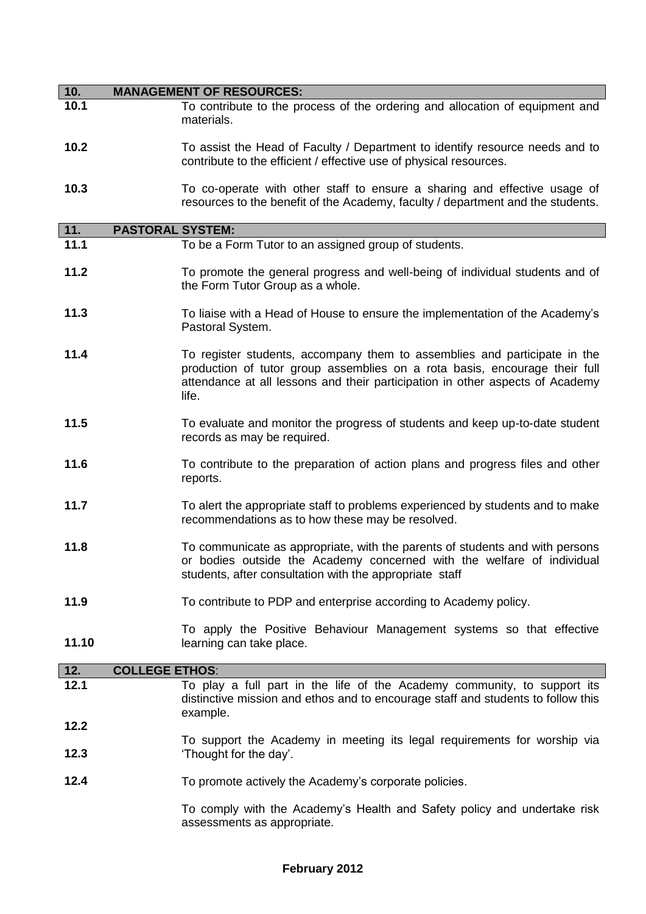| 10.   | <b>MANAGEMENT OF RESOURCES:</b>                                                                                                                                                                                                                   |
|-------|---------------------------------------------------------------------------------------------------------------------------------------------------------------------------------------------------------------------------------------------------|
| 10.1  | To contribute to the process of the ordering and allocation of equipment and<br>materials.                                                                                                                                                        |
| 10.2  | To assist the Head of Faculty / Department to identify resource needs and to<br>contribute to the efficient / effective use of physical resources.                                                                                                |
| 10.3  | To co-operate with other staff to ensure a sharing and effective usage of<br>resources to the benefit of the Academy, faculty / department and the students.                                                                                      |
| $11.$ | <b>PASTORAL SYSTEM:</b>                                                                                                                                                                                                                           |
| 11.1  | To be a Form Tutor to an assigned group of students.                                                                                                                                                                                              |
| 11.2  | To promote the general progress and well-being of individual students and of<br>the Form Tutor Group as a whole.                                                                                                                                  |
| 11.3  | To liaise with a Head of House to ensure the implementation of the Academy's<br>Pastoral System.                                                                                                                                                  |
| 11.4  | To register students, accompany them to assemblies and participate in the<br>production of tutor group assemblies on a rota basis, encourage their full<br>attendance at all lessons and their participation in other aspects of Academy<br>life. |
| 11.5  | To evaluate and monitor the progress of students and keep up-to-date student<br>records as may be required.                                                                                                                                       |
| 11.6  | To contribute to the preparation of action plans and progress files and other<br>reports.                                                                                                                                                         |
| 11.7  | To alert the appropriate staff to problems experienced by students and to make<br>recommendations as to how these may be resolved.                                                                                                                |
| 11.8  | To communicate as appropriate, with the parents of students and with persons<br>or bodies outside the Academy concerned with the welfare of individual<br>students, after consultation with the appropriate staff                                 |
| 11.9  | To contribute to PDP and enterprise according to Academy policy.                                                                                                                                                                                  |
| 11.10 | To apply the Positive Behaviour Management systems so that effective<br>learning can take place.                                                                                                                                                  |
| 12.   | <b>COLLEGE ETHOS:</b>                                                                                                                                                                                                                             |
| 12.1  | To play a full part in the life of the Academy community, to support its<br>distinctive mission and ethos and to encourage staff and students to follow this<br>example.                                                                          |
| 12.2  |                                                                                                                                                                                                                                                   |
| 12.3  | To support the Academy in meeting its legal requirements for worship via<br>'Thought for the day'.                                                                                                                                                |
| 12.4  | To promote actively the Academy's corporate policies.                                                                                                                                                                                             |

To comply with the Academy's Health and Safety policy and undertake risk assessments as appropriate.